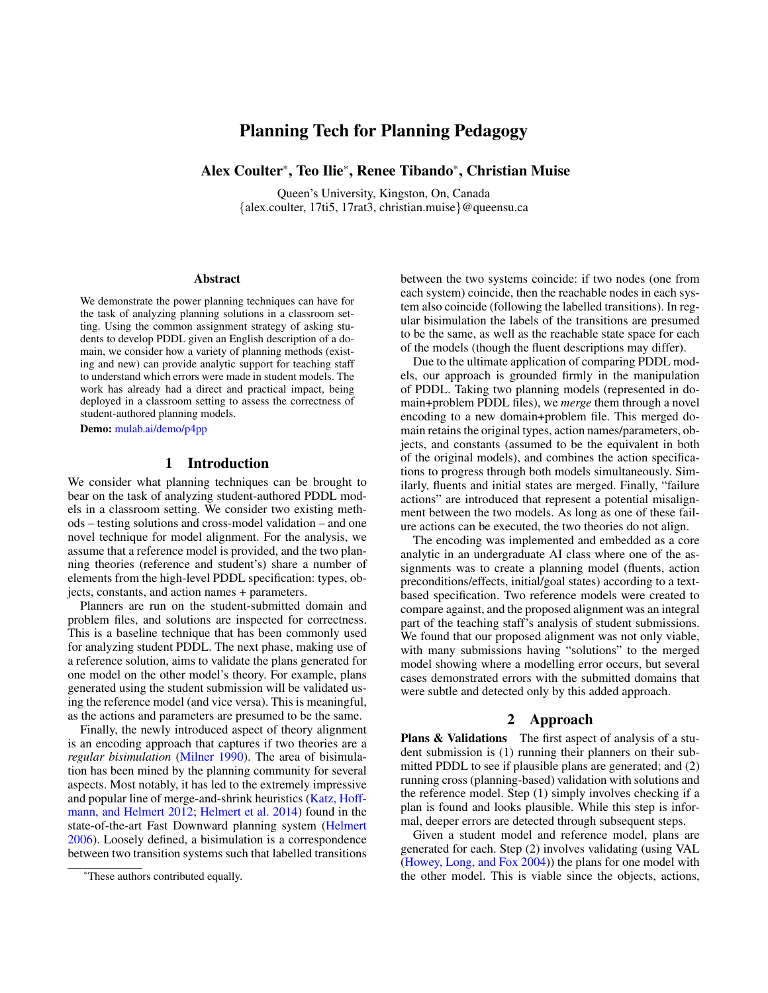# Planning Tech for Planning Pedagogy

Alex Coulter\*, Teo Ilie\*, Renee Tibando\*, Christian Muise

Queen's University, Kingston, On, Canada {alex.coulter, 17ti5, 17rat3, christian.muise}@queensu.ca

#### Abstract

We demonstrate the power planning techniques can have for the task of analyzing planning solutions in a classroom setting. Using the common assignment strategy of asking students to develop PDDL given an English description of a domain, we consider how a variety of planning methods (existing and new) can provide analytic support for teaching staff to understand which errors were made in student models. The work has already had a direct and practical impact, being deployed in a classroom setting to assess the correctness of student-authored planning models.

Demo: [mulab.ai/demo/p4pp](http://mulab.ai/demo/p4pp)

### 1 Introduction

We consider what planning techniques can be brought to bear on the task of analyzing student-authored PDDL models in a classroom setting. We consider two existing methods – testing solutions and cross-model validation – and one novel technique for model alignment. For the analysis, we assume that a reference model is provided, and the two planning theories (reference and student's) share a number of elements from the high-level PDDL specification: types, objects, constants, and action names + parameters.

Planners are run on the student-submitted domain and problem files, and solutions are inspected for correctness. This is a baseline technique that has been commonly used for analyzing student PDDL. The next phase, making use of a reference solution, aims to validate the plans generated for one model on the other model's theory. For example, plans generated using the student submission will be validated using the reference model (and vice versa). This is meaningful, as the actions and parameters are presumed to be the same.

Finally, the newly introduced aspect of theory alignment is an encoding approach that captures if two theories are a *regular bisimulation* [\(Milner](#page-1-0) [1990\)](#page-1-0). The area of bisimulation has been mined by the planning community for several aspects. Most notably, it has led to the extremely impressive and popular line of merge-and-shrink heuristics [\(Katz, Hoff](#page-1-1)[mann, and Helmert](#page-1-1) [2012;](#page-1-1) [Helmert et al.](#page-1-2) [2014\)](#page-1-2) found in the state-of-the-art Fast Downward planning system [\(Helmert](#page-1-3) [2006\)](#page-1-3). Loosely defined, a bisimulation is a correspondence between two transition systems such that labelled transitions

between the two systems coincide: if two nodes (one from each system) coincide, then the reachable nodes in each system also coincide (following the labelled transitions). In regular bisimulation the labels of the transitions are presumed to be the same, as well as the reachable state space for each of the models (though the fluent descriptions may differ).

Due to the ultimate application of comparing PDDL models, our approach is grounded firmly in the manipulation of PDDL. Taking two planning models (represented in domain+problem PDDL files), we *merge* them through a novel encoding to a new domain+problem file. This merged domain retains the original types, action names/parameters, objects, and constants (assumed to be the equivalent in both of the original models), and combines the action specifications to progress through both models simultaneously. Similarly, fluents and initial states are merged. Finally, "failure actions" are introduced that represent a potential misalignment between the two models. As long as one of these failure actions can be executed, the two theories do not align.

The encoding was implemented and embedded as a core analytic in an undergraduate AI class where one of the assignments was to create a planning model (fluents, action preconditions/effects, initial/goal states) according to a textbased specification. Two reference models were created to compare against, and the proposed alignment was an integral part of the teaching staff's analysis of student submissions. We found that our proposed alignment was not only viable, with many submissions having "solutions" to the merged model showing where a modelling error occurs, but several cases demonstrated errors with the submitted domains that were subtle and detected only by this added approach.

### 2 Approach

Plans & Validations The first aspect of analysis of a student submission is (1) running their planners on their submitted PDDL to see if plausible plans are generated; and (2) running cross (planning-based) validation with solutions and the reference model. Step (1) simply involves checking if a plan is found and looks plausible. While this step is informal, deeper errors are detected through subsequent steps.

Given a student model and reference model, plans are generated for each. Step (2) involves validating (using VAL [\(Howey, Long, and Fox](#page-1-4) [2004\)](#page-1-4)) the plans for one model with the other model. This is viable since the objects, actions,

<sup>\*</sup>These authors contributed equally.